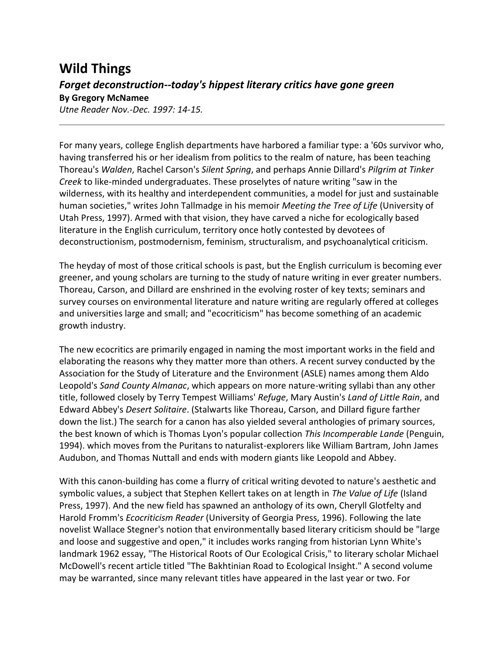## **Wild Things** *Forget deconstruction--today's hippest literary critics have gone green* **By Gregory McNamee**

*Utne Reader Nov.-Dec. 1997: 14-15.*

For many years, college English departments have harbored a familiar type: a '60s survivor who, having transferred his or her idealism from politics to the realm of nature, has been teaching Thoreau's *Walden*, Rachel Carson's *Silent Spring*, and perhaps Annie Dillard's *Pilgrim at Tinker Creek* to like-minded undergraduates. These proselytes of nature writing "saw in the wilderness, with its healthy and interdependent communities, a model for just and sustainable human societies," writes John Tallmadge in his memoir *Meeting the Tree of Life* (University of Utah Press, 1997). Armed with that vision, they have carved a niche for ecologically based literature in the English curriculum, territory once hotly contested by devotees of deconstructionism, postmodernism, feminism, structuralism, and psychoanalytical criticism.

The heyday of most of those critical schools is past, but the English curriculum is becoming ever greener, and young scholars are turning to the study of nature writing in ever greater numbers. Thoreau, Carson, and Dillard are enshrined in the evolving roster of key texts; seminars and survey courses on environmental literature and nature writing are regularly offered at colleges and universities large and small; and "ecocriticism" has become something of an academic growth industry.

The new ecocritics are primarily engaged in naming the most important works in the field and elaborating the reasons why they matter more than others. A recent survey conducted by the Association for the Study of Literature and the Environment (ASLE) names among them Aldo Leopold's *Sand County Almanac*, which appears on more nature-writing syllabi than any other title, followed closely by Terry Tempest Williams' *Refuge*, Mary Austin's *Land of Little Rain*, and Edward Abbey's *Desert Solitaire*. (Stalwarts like Thoreau, Carson, and Dillard figure farther down the list.) The search for a canon has also yielded several anthologies of primary sources, the best known of which is Thomas Lyon's popular collection *This Incomperable Lande* (Penguin, 1994). which moves from the Puritans to naturalist-explorers like William Bartram, John James Audubon, and Thomas Nuttall and ends with modern giants like Leopold and Abbey.

With this canon-building has come a flurry of critical writing devoted to nature's aesthetic and symbolic values, a subject that Stephen Kellert takes on at length in *The Value of Life* (Island Press, 1997). And the new field has spawned an anthology of its own, Cheryll Glotfelty and Harold Fromm's *Ecocriticism Reader* (University of Georgia Press, 1996). Following the late novelist Wallace Stegner's notion that environmentally based literary criticism should be "large and loose and suggestive and open," it includes works ranging from historian Lynn White's landmark 1962 essay, "The Historical Roots of Our Ecological Crisis," to literary scholar Michael McDowell's recent article titled "The Bakhtinian Road to Ecological Insight." A second volume may be warranted, since many relevant titles have appeared in the last year or two. For